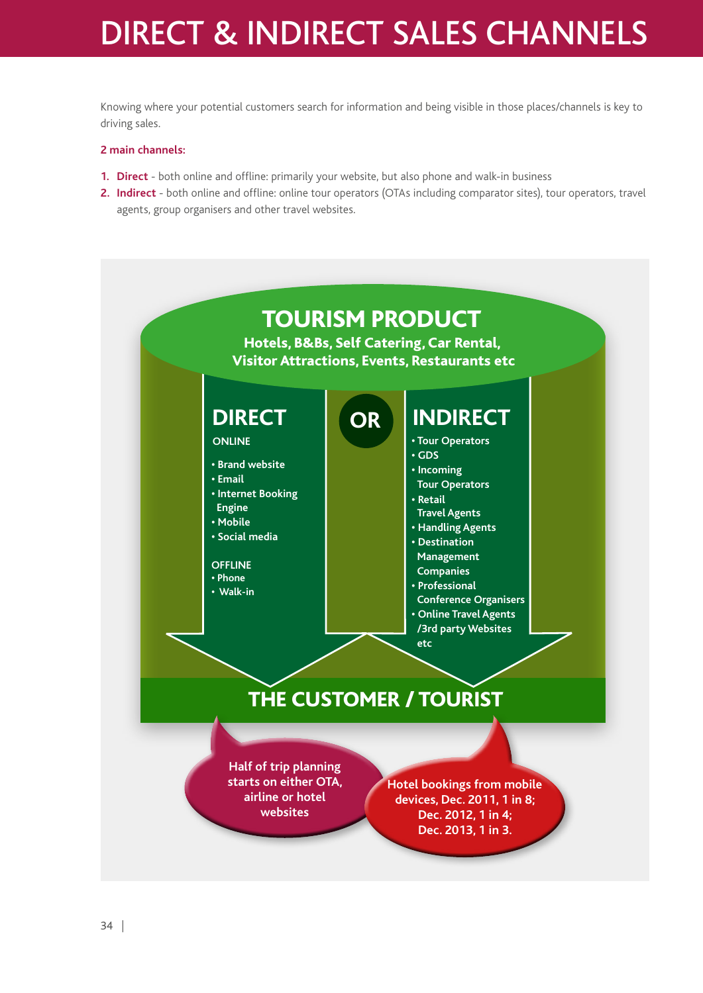# DIRECT & INDIRECT SALES CHANNELS

Knowing where your potential customers search for information and being visible in those places/channels is key to driving sales.

### **2 main channels:**

- **1. Direct** both online and offline: primarily your website, but also phone and walk-in business
- **2. Indirect** both online and offline: online tour operators (OTAs including comparator sites), tour operators, travel agents, group organisers and other travel websites.

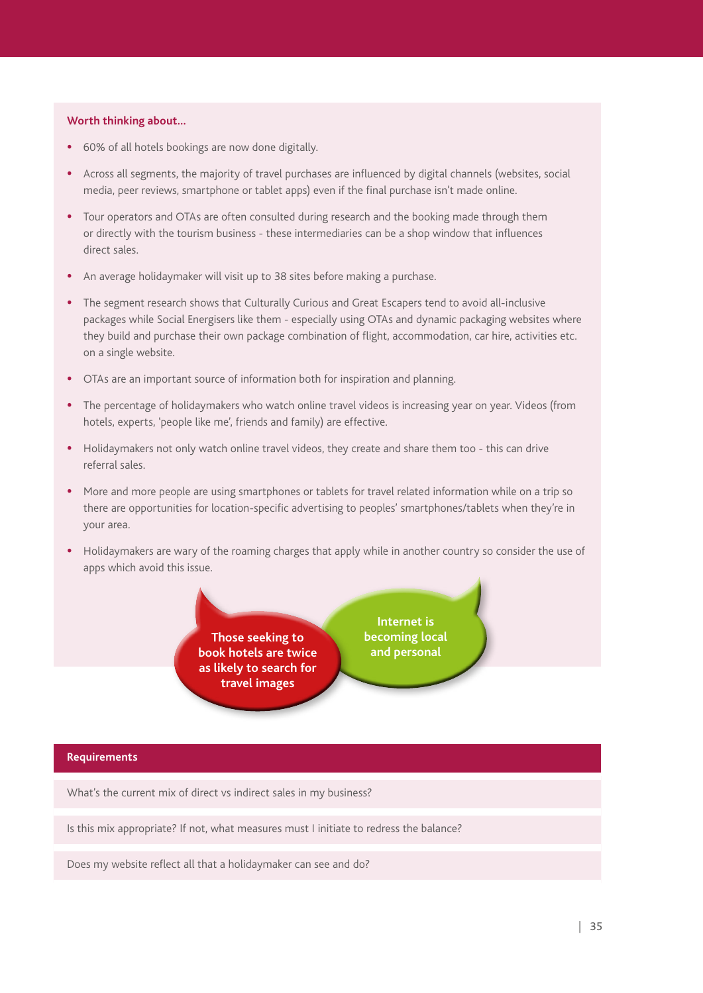# **Worth thinking about…**

- **•**  60% of all hotels bookings are now done digitally.
- **•**  Across all segments, the majority of travel purchases are influenced by digital channels (websites, social media, peer reviews, smartphone or tablet apps) even if the final purchase isn't made online.
- **•**  Tour operators and OTAs are often consulted during research and the booking made through them or directly with the tourism business - these intermediaries can be a shop window that influences direct sales.
- **•**  An average holidaymaker will visit up to 38 sites before making a purchase.
- The segment research shows that Culturally Curious and Great Escapers tend to avoid all-inclusive packages while Social Energisers like them - especially using OTAs and dynamic packaging websites where they build and purchase their own package combination of flight, accommodation, car hire, activities etc. on a single website.
- **•**  OTAs are an important source of information both for inspiration and planning.
- The percentage of holidaymakers who watch online travel videos is increasing year on year. Videos (from hotels, experts, 'people like me', friends and family) are effective.
- Holidaymakers not only watch online travel videos, they create and share them too this can drive referral sales.
- **•**  More and more people are using smartphones or tablets for travel related information while on a trip so there are opportunities for location-specific advertising to peoples' smartphones/tablets when they're in your area.
- Holidaymakers are wary of the roaming charges that apply while in another country so consider the use of apps which avoid this issue.

**Those seeking to book hotels are twice as likely to search for travel images**

**Internet is becoming local and personal**

#### **Requirements**

What's the current mix of direct vs indirect sales in my business?

Is this mix appropriate? If not, what measures must I initiate to redress the balance?

Does my website reflect all that a holidaymaker can see and do?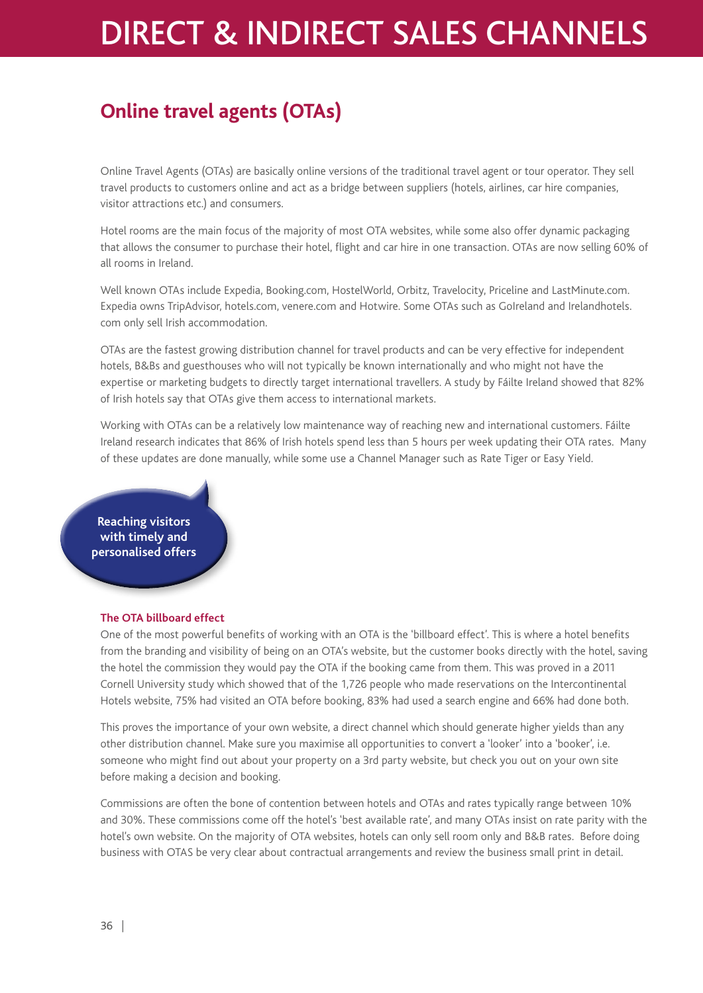# DIRECT & INDIRECT SALES CHANNELS

# **Online travel agents (OTAs)**

Online Travel Agents (OTAs) are basically online versions of the traditional travel agent or tour operator. They sell travel products to customers online and act as a bridge between suppliers (hotels, airlines, car hire companies, visitor attractions etc.) and consumers.

Hotel rooms are the main focus of the majority of most OTA websites, while some also offer dynamic packaging that allows the consumer to purchase their hotel, flight and car hire in one transaction. OTAs are now selling 60% of all rooms in Ireland.

Well known OTAs include Expedia, Booking.com, HostelWorld, Orbitz, Travelocity, Priceline and LastMinute.com. Expedia owns TripAdvisor, hotels.com, venere.com and Hotwire. Some OTAs such as GoIreland and Irelandhotels. com only sell Irish accommodation.

OTAs are the fastest growing distribution channel for travel products and can be very effective for independent hotels, B&Bs and guesthouses who will not typically be known internationally and who might not have the expertise or marketing budgets to directly target international travellers. A study by Fáilte Ireland showed that 82% of Irish hotels say that OTAs give them access to international markets.

Working with OTAs can be a relatively low maintenance way of reaching new and international customers. Fáilte Ireland research indicates that 86% of Irish hotels spend less than 5 hours per week updating their OTA rates. Many of these updates are done manually, while some use a Channel Manager such as Rate Tiger or Easy Yield.

**Reaching visitors with timely and personalised offers**

## **The OTA billboard effect**

One of the most powerful benefits of working with an OTA is the 'billboard effect'. This is where a hotel benefits from the branding and visibility of being on an OTA's website, but the customer books directly with the hotel, saving the hotel the commission they would pay the OTA if the booking came from them. This was proved in a 2011 Cornell University study which showed that of the 1,726 people who made reservations on the Intercontinental Hotels website, 75% had visited an OTA before booking, 83% had used a search engine and 66% had done both.

This proves the importance of your own website, a direct channel which should generate higher yields than any other distribution channel. Make sure you maximise all opportunities to convert a 'looker' into a 'booker', i.e. someone who might find out about your property on a 3rd party website, but check you out on your own site before making a decision and booking.

Commissions are often the bone of contention between hotels and OTAs and rates typically range between 10% and 30%. These commissions come off the hotel's 'best available rate', and many OTAs insist on rate parity with the hotel's own website. On the majority of OTA websites, hotels can only sell room only and B&B rates. Before doing business with OTAS be very clear about contractual arrangements and review the business small print in detail.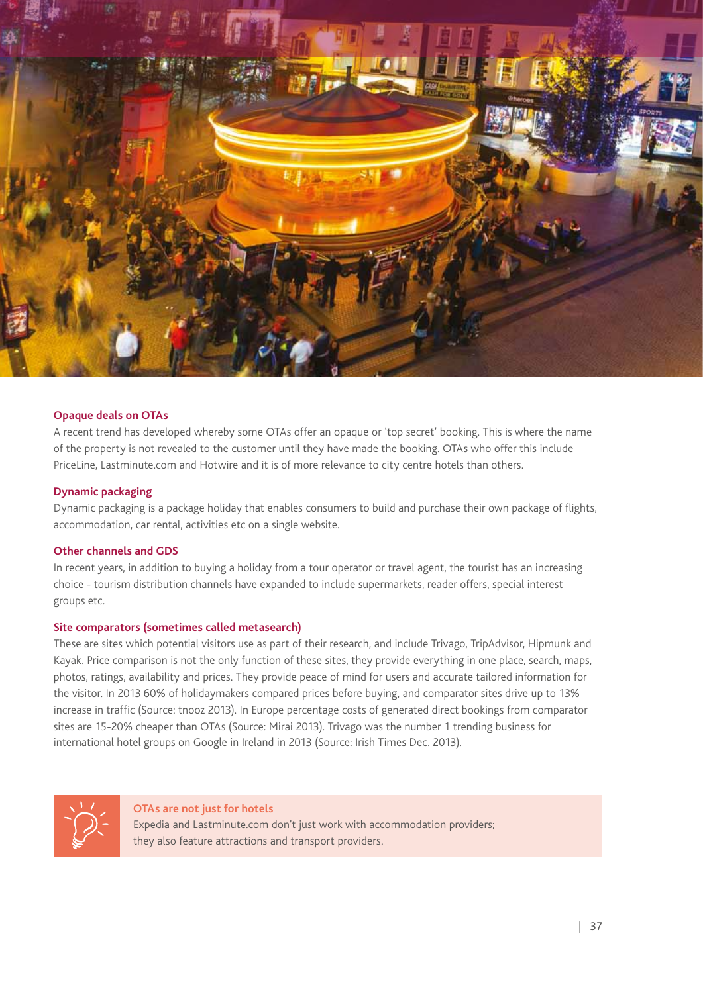

#### **Opaque deals on OTAs**

A recent trend has developed whereby some OTAs offer an opaque or 'top secret' booking. This is where the name of the property is not revealed to the customer until they have made the booking. OTAs who offer this include PriceLine, Lastminute.com and Hotwire and it is of more relevance to city centre hotels than others.

#### **Dynamic packaging**

Dynamic packaging is a package holiday that enables consumers to build and purchase their own package of flights, accommodation, car rental, activities etc on a single website.

#### **Other channels and GDS**

In recent years, in addition to buying a holiday from a tour operator or travel agent, the tourist has an increasing choice - tourism distribution channels have expanded to include supermarkets, reader offers, special interest groups etc.

#### **Site comparators (sometimes called metasearch)**

These are sites which potential visitors use as part of their research, and include Trivago, TripAdvisor, Hipmunk and Kayak. Price comparison is not the only function of these sites, they provide everything in one place, search, maps, photos, ratings, availability and prices. They provide peace of mind for users and accurate tailored information for the visitor. In 2013 60% of holidaymakers compared prices before buying, and comparator sites drive up to 13% increase in traffic (Source: tnooz 2013). In Europe percentage costs of generated direct bookings from comparator sites are 15-20% cheaper than OTAs (Source: Mirai 2013). Trivago was the number 1 trending business for international hotel groups on Google in Ireland in 2013 (Source: Irish Times Dec. 2013).



**OTAs are not just for hotels** Expedia and Lastminute.com don't just work with accommodation providers; they also feature attractions and transport providers.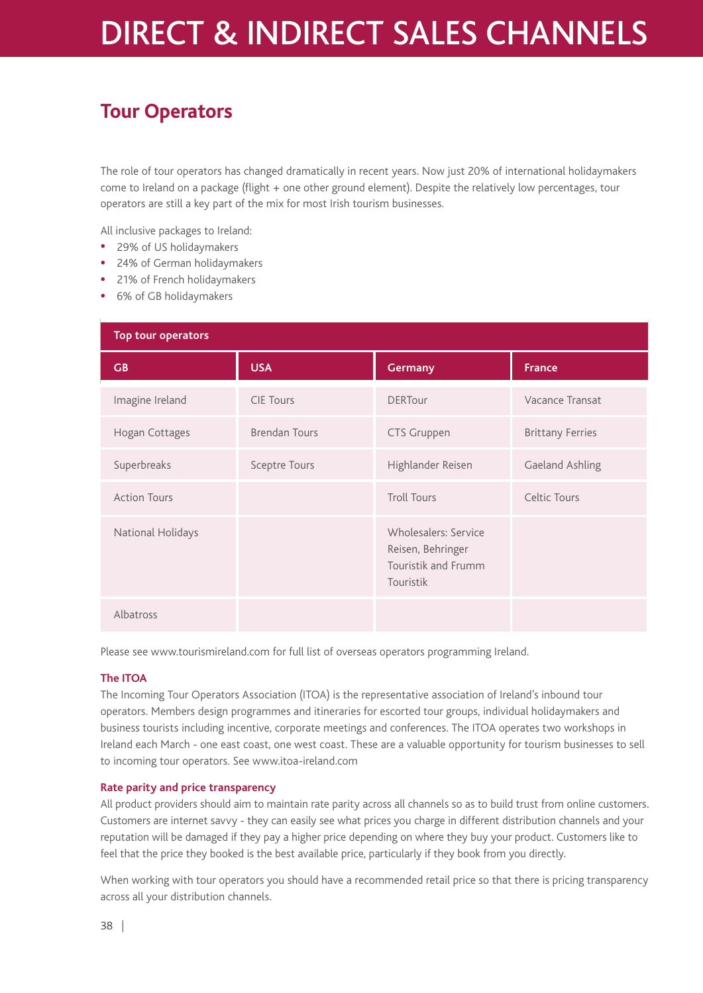# DIRECT & INDIRECT SALES CHANNELS

# **Tour Operators**

The role of tour operators has changed dramatically in recent years. Now just 20% of international holidaymakers come to Ireland on a package (flight + one other ground element). Despite the relatively low percentages, tour operators are still a key part of the mix for most Irish tourism businesses.

All inclusive packages to Ireland:

- **•**  29% of US holidaymakers
- **•**  24% of German holidaymakers
- **•**  21% of French holidaymakers
- 6% of GB holidaymakers

| <b>Top tour operators</b> |                  |                                                                               |                         |  |
|---------------------------|------------------|-------------------------------------------------------------------------------|-------------------------|--|
| GB                        | <b>USA</b>       | <b>Germany</b>                                                                | <b>France</b>           |  |
| Imagine Ireland           | <b>CIE Tours</b> | <b>DERTour</b>                                                                | Vacance Transat         |  |
| Hogan Cottages            | Brendan Tours    | CTS Gruppen                                                                   | <b>Brittany Ferries</b> |  |
| Superbreaks               | Sceptre Tours    | Highlander Reisen                                                             | Gaeland Ashling         |  |
| <b>Action Tours</b>       |                  | <b>Troll Tours</b>                                                            | Celtic Tours            |  |
| National Holidays         |                  | Wholesalers: Service<br>Reisen, Behringer<br>Touristik and Frumm<br>Touristik |                         |  |
| Albatross                 |                  |                                                                               |                         |  |

Please see www.tourismireland.com for full list of overseas operators programming Ireland.

## **The ITOA**

The Incoming Tour Operators Association (ITOA) is the representative association of Ireland's inbound tour operators. Members design programmes and itineraries for escorted tour groups, individual holidaymakers and business tourists including incentive, corporate meetings and conferences. The ITOA operates two workshops in Ireland each March - one east coast, one west coast. These are a valuable opportunity for tourism businesses to sell to incoming tour operators. See www.itoa-ireland.com

## **Rate parity and price transparency**

All product providers should aim to maintain rate parity across all channels so as to build trust from online customers. Customers are internet savvy - they can easily see what prices you charge in different distribution channels and your reputation will be damaged if they pay a higher price depending on where they buy your product. Customers like to feel that the price they booked is the best available price, particularly if they book from you directly.

When working with tour operators you should have a recommended retail price so that there is pricing transparency across all your distribution channels.